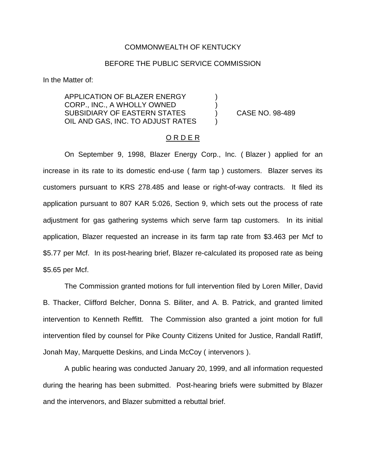## COMMONWEALTH OF KENTUCKY

## BEFORE THE PUBLIC SERVICE COMMISSION

In the Matter of:

APPLICATION OF BLAZER ENERGY ) CORP., INC., A WHOLLY OWNED ) SUBSIDIARY OF EASTERN STATES (and STATES ) CASE NO. 98-489 OIL AND GAS, INC. TO ADJUST RATES

#### O R D E R

On September 9, 1998, Blazer Energy Corp., Inc. ( Blazer ) applied for an increase in its rate to its domestic end-use ( farm tap ) customers. Blazer serves its customers pursuant to KRS 278.485 and lease or right-of-way contracts. It filed its application pursuant to 807 KAR 5:026, Section 9, which sets out the process of rate adjustment for gas gathering systems which serve farm tap customers. In its initial application, Blazer requested an increase in its farm tap rate from \$3.463 per Mcf to \$5.77 per Mcf. In its post-hearing brief, Blazer re-calculated its proposed rate as being \$5.65 per Mcf.

The Commission granted motions for full intervention filed by Loren Miller, David B. Thacker, Clifford Belcher, Donna S. Biliter, and A. B. Patrick, and granted limited intervention to Kenneth Reffitt. The Commission also granted a joint motion for full intervention filed by counsel for Pike County Citizens United for Justice, Randall Ratliff, Jonah May, Marquette Deskins, and Linda McCoy ( intervenors ).

A public hearing was conducted January 20, 1999, and all information requested during the hearing has been submitted. Post-hearing briefs were submitted by Blazer and the intervenors, and Blazer submitted a rebuttal brief.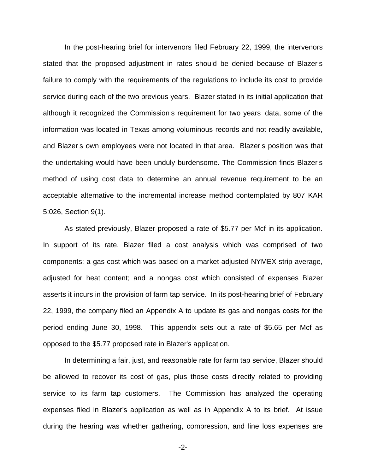In the post-hearing brief for intervenors filed February 22, 1999, the intervenors stated that the proposed adjustment in rates should be denied because of Blazer s failure to comply with the requirements of the regulations to include its cost to provide service during each of the two previous years. Blazer stated in its initial application that although it recognized the Commission s requirement for two years data, some of the information was located in Texas among voluminous records and not readily available, and Blazer s own employees were not located in that area. Blazer s position was that the undertaking would have been unduly burdensome. The Commission finds Blazer s method of using cost data to determine an annual revenue requirement to be an acceptable alternative to the incremental increase method contemplated by 807 KAR 5:026, Section 9(1).

As stated previously, Blazer proposed a rate of \$5.77 per Mcf in its application. In support of its rate, Blazer filed a cost analysis which was comprised of two components: a gas cost which was based on a market-adjusted NYMEX strip average, adjusted for heat content; and a nongas cost which consisted of expenses Blazer asserts it incurs in the provision of farm tap service. In its post-hearing brief of February 22, 1999, the company filed an Appendix A to update its gas and nongas costs for the period ending June 30, 1998. This appendix sets out a rate of \$5.65 per Mcf as opposed to the \$5.77 proposed rate in Blazer's application.

In determining a fair, just, and reasonable rate for farm tap service, Blazer should be allowed to recover its cost of gas, plus those costs directly related to providing service to its farm tap customers. The Commission has analyzed the operating expenses filed in Blazer's application as well as in Appendix A to its brief. At issue during the hearing was whether gathering, compression, and line loss expenses are

-2-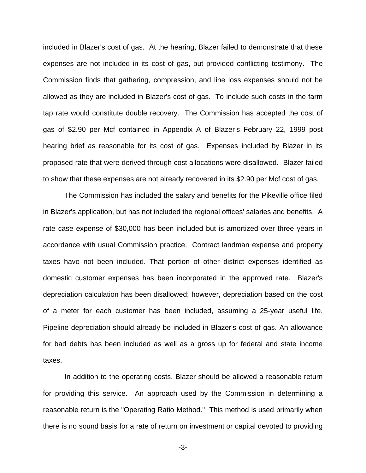included in Blazer's cost of gas. At the hearing, Blazer failed to demonstrate that these expenses are not included in its cost of gas, but provided conflicting testimony. The Commission finds that gathering, compression, and line loss expenses should not be allowed as they are included in Blazer's cost of gas. To include such costs in the farm tap rate would constitute double recovery. The Commission has accepted the cost of gas of \$2.90 per Mcf contained in Appendix A of Blazer s February 22, 1999 post hearing brief as reasonable for its cost of gas. Expenses included by Blazer in its proposed rate that were derived through cost allocations were disallowed. Blazer failed to show that these expenses are not already recovered in its \$2.90 per Mcf cost of gas.

The Commission has included the salary and benefits for the Pikeville office filed in Blazer's application, but has not included the regional offices' salaries and benefits. A rate case expense of \$30,000 has been included but is amortized over three years in accordance with usual Commission practice. Contract landman expense and property taxes have not been included. That portion of other district expenses identified as domestic customer expenses has been incorporated in the approved rate. Blazer's depreciation calculation has been disallowed; however, depreciation based on the cost of a meter for each customer has been included, assuming a 25-year useful life. Pipeline depreciation should already be included in Blazer's cost of gas. An allowance for bad debts has been included as well as a gross up for federal and state income taxes.

In addition to the operating costs, Blazer should be allowed a reasonable return for providing this service. An approach used by the Commission in determining a reasonable return is the "Operating Ratio Method." This method is used primarily when there is no sound basis for a rate of return on investment or capital devoted to providing

-3-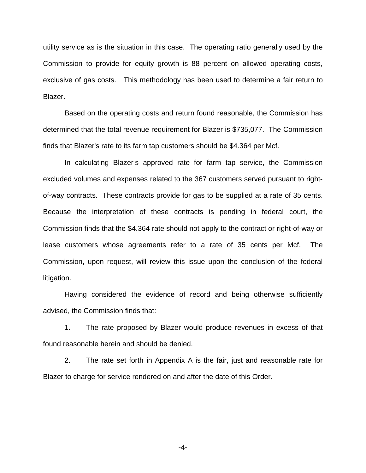utility service as is the situation in this case. The operating ratio generally used by the Commission to provide for equity growth is 88 percent on allowed operating costs, exclusive of gas costs. This methodology has been used to determine a fair return to Blazer.

Based on the operating costs and return found reasonable, the Commission has determined that the total revenue requirement for Blazer is \$735,077. The Commission finds that Blazer's rate to its farm tap customers should be \$4.364 per Mcf.

In calculating Blazer s approved rate for farm tap service, the Commission excluded volumes and expenses related to the 367 customers served pursuant to rightof-way contracts. These contracts provide for gas to be supplied at a rate of 35 cents. Because the interpretation of these contracts is pending in federal court, the Commission finds that the \$4.364 rate should not apply to the contract or right-of-way or lease customers whose agreements refer to a rate of 35 cents per Mcf. The Commission, upon request, will review this issue upon the conclusion of the federal litigation.

Having considered the evidence of record and being otherwise sufficiently advised, the Commission finds that:

1. The rate proposed by Blazer would produce revenues in excess of that found reasonable herein and should be denied.

2. The rate set forth in Appendix A is the fair, just and reasonable rate for Blazer to charge for service rendered on and after the date of this Order.

-4-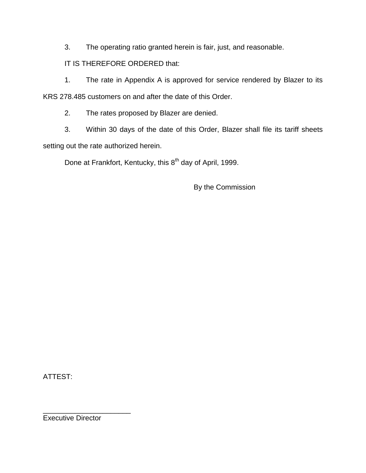3. The operating ratio granted herein is fair, just, and reasonable.

# IT IS THEREFORE ORDERED that:

1. The rate in Appendix A is approved for service rendered by Blazer to its KRS 278.485 customers on and after the date of this Order.

2. The rates proposed by Blazer are denied.

3. Within 30 days of the date of this Order, Blazer shall file its tariff sheets setting out the rate authorized herein.

Done at Frankfort, Kentucky, this 8<sup>th</sup> day of April, 1999.

By the Commission

ATTEST:

Executive Director

\_\_\_\_\_\_\_\_\_\_\_\_\_\_\_\_\_\_\_\_\_\_